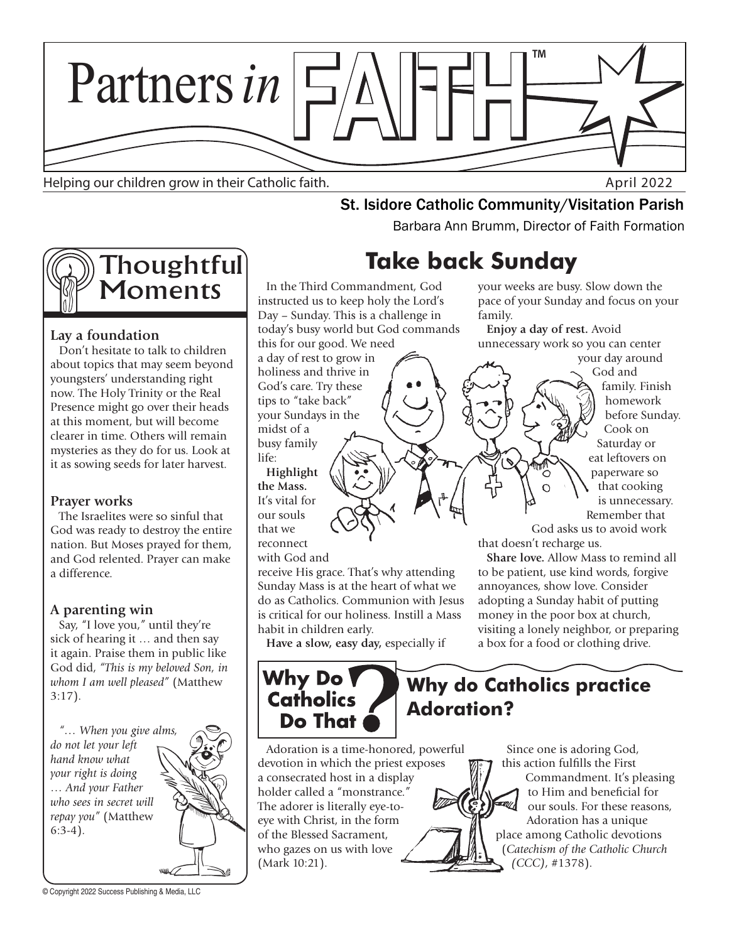

Helping our children grow in their Catholic faith. April 2022

# **St. Isidore Catholic Community/Visitation Parish**<br>Barbara Ann Brumm, Director of Faith Formation



## **Lay a foundation**

Don't hesitate to talk to children about topics that may seem beyond youngsters' understanding right now. The Holy Trinity or the Real Presence might go over their heads at this moment, but will become clearer in time. Others will remain mysteries as they do for us. Look at it as sowing seeds for later harvest.

## **Prayer works**

The Israelites were so sinful that God was ready to destroy the entire nation. But Moses prayed for them, and God relented. Prayer can make a difference.

## **A parenting win**

Say, "I love you," until they're sick of hearing it … and then say it again. Praise them in public like God did, *"This is my beloved Son, in whom I am well pleased"* (Matthew 3:17).

*"… When you give alms, do not let your left hand know what your right is doing … And your Father who sees in secret will repay you"* (Matthew 6:3-4).

© Copyright 2022 Success Publishing & Media, LLC

**Take back Sunday**

In the Third Commandment, God instructed us to keep holy the Lord's Day – Sunday. This is a challenge in today's busy world but God commands this for our good. We need

a day of rest to grow in holiness and thrive in God's care. Try these tips to "take back" your Sundays in the midst of a busy family life:

**Highlight the Mass.**  It's vital for our souls that we reconnect

with God and

receive His grace. That's why attending Sunday Mass is at the heart of what we do as Catholics. Communion with Jesus is critical for our holiness. Instill a Mass habit in children early.

**Have a slow, easy day,** especially if

## Why Do **Catholics** Do That

**Why do Catholics practice Adoration?**

Adoration is a time-honored, powerful devotion in which the priest exposes a consecrated host in a display holder called a "monstrance." The adorer is literally eye-toeye with Christ, in the form of the Blessed Sacrament, who gazes on us with love (Mark 10:21).

your weeks are busy. Slow down the pace of your Sunday and focus on your family.

**Enjoy a day of rest.** Avoid unnecessary work so you can center

your day around God and family. Finish homework before Sunday. Cook on Saturday or eat leftovers on paperware so that cooking is unnecessary. Remember that

God asks us to avoid work that doesn't recharge us.

**Share love.** Allow Mass to remind all to be patient, use kind words, forgive annoyances, show love. Consider adopting a Sunday habit of putting money in the poor box at church, visiting a lonely neighbor, or preparing a box for a food or clothing drive.

Since one is adoring God, this action fulfills the First Commandment. It's pleasing to Him and beneficial for our souls. For these reasons, Adoration has a unique place among Catholic devotions (*Catechism of the Catholic Church (CCC)*, #1378).